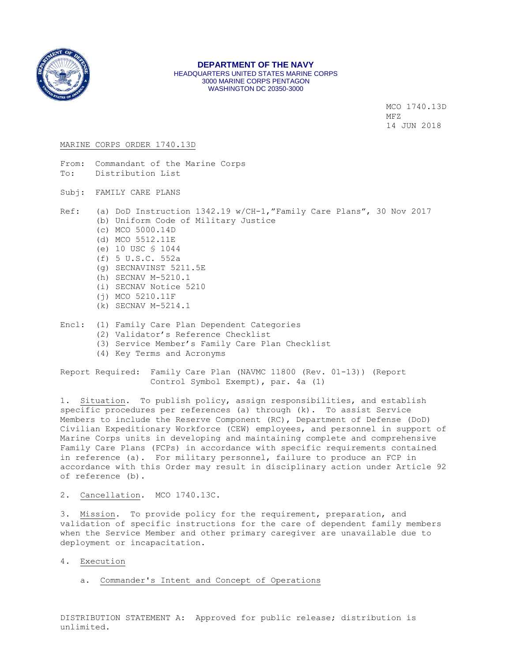

#### **DEPARTMENT OF THE NAVY** HEADQUARTERS UNITED STATES MARINE CORPS 3000 MARINE CORPS PENTAGON WASHINGTON DC 20350-3000

 MCO 1740.13D MFZ CONTROL CONTROL IN THE SECOND METRIC SECOND SECOND SECOND SECOND SECOND SECOND SECOND SECOND SECOND SECOND SECOND SECOND SECOND SECOND SECOND SECOND SECOND SECOND SECOND SECOND SECOND SECOND SECOND SECOND SECOND SECOND 14 JUN 2018

## MARINE CORPS ORDER 1740.13D

- From: Commandant of the Marine Corps To: Distribution List
- Subj: FAMILY CARE PLANS
- Ref: (a) DoD Instruction 1342.19 w/CH-1,"Family Care Plans", 30 Nov 2017 (b) Uniform Code of Military Justice (c) MCO 5000.14D
	- (d) MCO 5512.11E
	- (e) 10 USC § 1044
	- (f) 5 U.S.C. 552a
	- (g) SECNAVINST 5211.5E
	- (h) SECNAV M-5210.1
	- (i) SECNAV Notice 5210
	- (j) MCO 5210.11F
	- (k) SECNAV M-5214.1
- Encl: (1) Family Care Plan Dependent Categories
	- (2) Validator's Reference Checklist
	- (3) Service Member's Family Care Plan Checklist
	- (4) Key Terms and Acronyms

Report Required: Family Care Plan (NAVMC 11800 (Rev. 01-13)) (Report Control Symbol Exempt), par. 4a (1)

1. Situation. To publish policy, assign responsibilities, and establish specific procedures per references (a) through (k). To assist Service Members to include the Reserve Component (RC), Department of Defense (DoD) Civilian Expeditionary Workforce (CEW) employees, and personnel in support of Marine Corps units in developing and maintaining complete and comprehensive Family Care Plans (FCPs) in accordance with specific requirements contained in reference (a). For military personnel, failure to produce an FCP in accordance with this Order may result in disciplinary action under Article 92 of reference (b).

2. Cancellation. MCO 1740.13C.

3. Mission. To provide policy for the requirement, preparation, and validation of specific instructions for the care of dependent family members when the Service Member and other primary caregiver are unavailable due to deployment or incapacitation.

- 4. Execution
	- a. Commander's Intent and Concept of Operations

DISTRIBUTION STATEMENT A: Approved for public release; distribution is unlimited.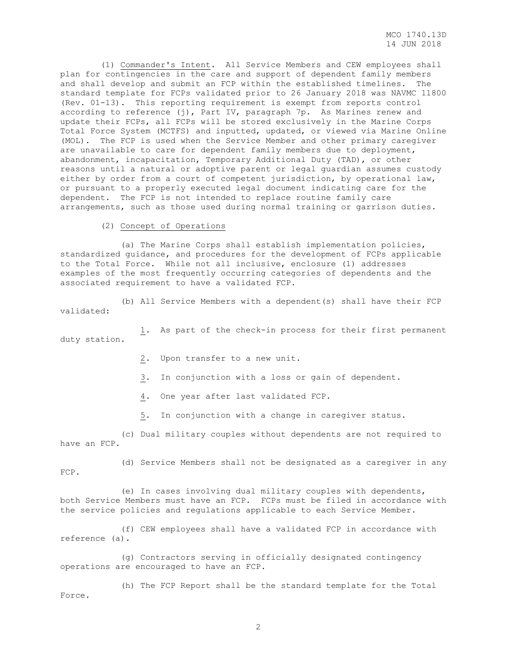(1) Commander's Intent. All Service Members and CEW employees shall plan for contingencies in the care and support of dependent family members and shall develop and submit an FCP within the established timelines. The standard template for FCPs validated prior to 26 January 2018 was NAVMC 11800 (Rev. 01-13). This reporting requirement is exempt from reports control according to reference (j), Part IV, paragraph 7p. As Marines renew and update their FCPs, all FCPs will be stored exclusively in the Marine Corps Total Force System (MCTFS) and inputted, updated, or viewed via Marine Online (MOL). The FCP is used when the Service Member and other primary caregiver are unavailable to care for dependent family members due to deployment, abandonment, incapacitation, Temporary Additional Duty (TAD), or other reasons until a natural or adoptive parent or legal guardian assumes custody either by order from a court of competent jurisdiction, by operational law, or pursuant to a properly executed legal document indicating care for the dependent. The FCP is not intended to replace routine family care arrangements, such as those used during normal training or garrison duties.

(2) Concept of Operations

 (a) The Marine Corps shall establish implementation policies, standardized guidance, and procedures for the development of FCPs applicable to the Total Force. While not all inclusive, enclosure (1) addresses examples of the most frequently occurring categories of dependents and the associated requirement to have a validated FCP.

 (b) All Service Members with a dependent(s) shall have their FCP validated:

 1. As part of the check-in process for their first permanent duty station.

2. Upon transfer to a new unit.

3. In conjunction with a loss or gain of dependent.

4. One year after last validated FCP.

5. In conjunction with a change in caregiver status.

 (c) Dual military couples without dependents are not required to have an FCP.

 (d) Service Members shall not be designated as a caregiver in any FCP.

 (e) In cases involving dual military couples with dependents, both Service Members must have an FCP. FCPs must be filed in accordance with the service policies and regulations applicable to each Service Member.

 (f) CEW employees shall have a validated FCP in accordance with reference (a).

 (g) Contractors serving in officially designated contingency operations are encouraged to have an FCP.

 (h) The FCP Report shall be the standard template for the Total Force.

2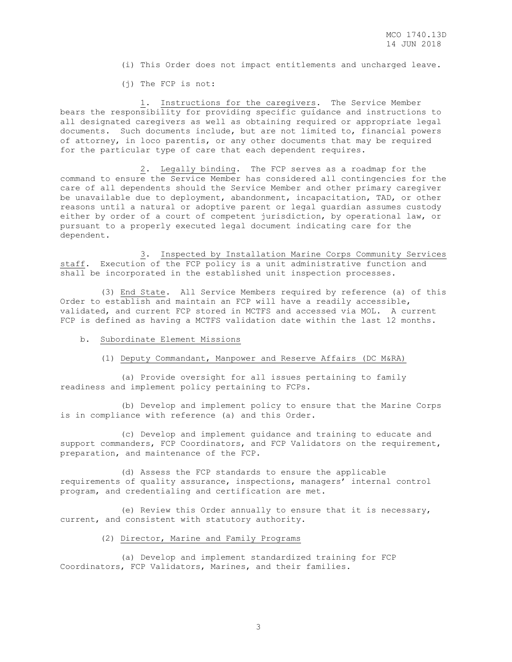- (i) This Order does not impact entitlements and uncharged leave.
- (j) The FCP is not:

 1. Instructions for the caregivers. The Service Member bears the responsibility for providing specific guidance and instructions to all designated caregivers as well as obtaining required or appropriate legal documents. Such documents include, but are not limited to, financial powers of attorney, in loco parentis, or any other documents that may be required for the particular type of care that each dependent requires.

 2. Legally binding. The FCP serves as a roadmap for the command to ensure the Service Member has considered all contingencies for the care of all dependents should the Service Member and other primary caregiver be unavailable due to deployment, abandonment, incapacitation, TAD, or other reasons until a natural or adoptive parent or legal guardian assumes custody either by order of a court of competent jurisdiction, by operational law, or pursuant to a properly executed legal document indicating care for the dependent.

 3. Inspected by Installation Marine Corps Community Services staff. Execution of the FCP policy is a unit administrative function and shall be incorporated in the established unit inspection processes.

 (3) End State. All Service Members required by reference (a) of this Order to establish and maintain an FCP will have a readily accessible, validated, and current FCP stored in MCTFS and accessed via MOL. A current FCP is defined as having a MCTFS validation date within the last 12 months.

#### b. Subordinate Element Missions

## (1) Deputy Commandant, Manpower and Reserve Affairs (DC M&RA)

 (a) Provide oversight for all issues pertaining to family readiness and implement policy pertaining to FCPs.

 (b) Develop and implement policy to ensure that the Marine Corps is in compliance with reference (a) and this Order.

 (c) Develop and implement guidance and training to educate and support commanders, FCP Coordinators, and FCP Validators on the requirement, preparation, and maintenance of the FCP.

 (d) Assess the FCP standards to ensure the applicable requirements of quality assurance, inspections, managers' internal control program, and credentialing and certification are met.

 (e) Review this Order annually to ensure that it is necessary, current, and consistent with statutory authority.

## (2) Director, Marine and Family Programs

 (a) Develop and implement standardized training for FCP Coordinators, FCP Validators, Marines, and their families.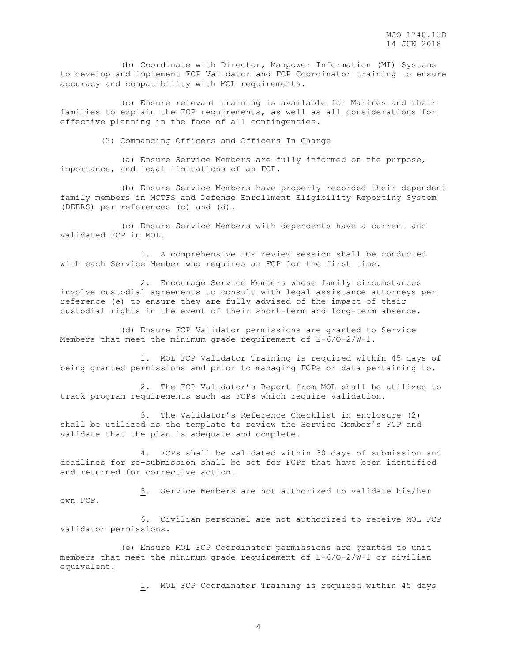(b) Coordinate with Director, Manpower Information (MI) Systems to develop and implement FCP Validator and FCP Coordinator training to ensure accuracy and compatibility with MOL requirements.

 (c) Ensure relevant training is available for Marines and their families to explain the FCP requirements, as well as all considerations for effective planning in the face of all contingencies.

#### (3) Commanding Officers and Officers In Charge

 (a) Ensure Service Members are fully informed on the purpose, importance, and legal limitations of an FCP.

 (b) Ensure Service Members have properly recorded their dependent family members in MCTFS and Defense Enrollment Eligibility Reporting System (DEERS) per references (c) and (d).

 (c) Ensure Service Members with dependents have a current and validated FCP in MOL.

 1. A comprehensive FCP review session shall be conducted with each Service Member who requires an FCP for the first time.

 2. Encourage Service Members whose family circumstances involve custodial agreements to consult with legal assistance attorneys per reference (e) to ensure they are fully advised of the impact of their custodial rights in the event of their short-term and long-term absence.

 (d) Ensure FCP Validator permissions are granted to Service Members that meet the minimum grade requirement of  $E-6/0-2/W-1$ .

 1. MOL FCP Validator Training is required within 45 days of being granted permissions and prior to managing FCPs or data pertaining to.

 2. The FCP Validator's Report from MOL shall be utilized to track program requirements such as FCPs which require validation.

 3. The Validator's Reference Checklist in enclosure (2) shall be utilized as the template to review the Service Member's FCP and validate that the plan is adequate and complete.

 4. FCPs shall be validated within 30 days of submission and deadlines for re-submission shall be set for FCPs that have been identified and returned for corrective action.

 5. Service Members are not authorized to validate his/her own FCP.

 6. Civilian personnel are not authorized to receive MOL FCP Validator permissions.

 (e) Ensure MOL FCP Coordinator permissions are granted to unit members that meet the minimum grade requirement of E-6/O-2/W-1 or civilian equivalent.

1. MOL FCP Coordinator Training is required within 45 days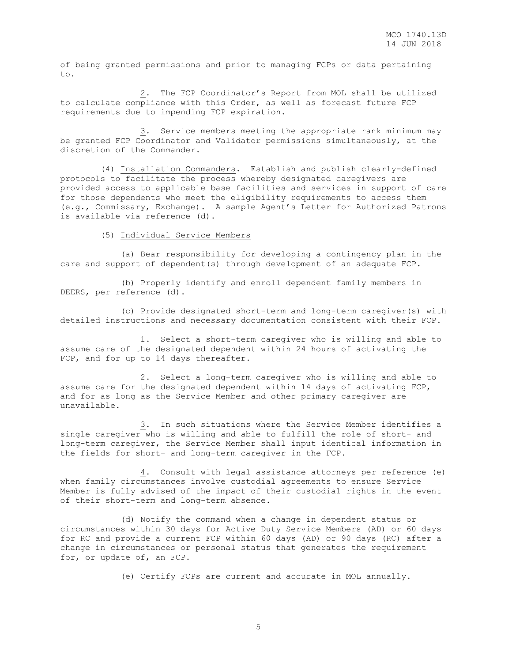of being granted permissions and prior to managing FCPs or data pertaining to.

 2. The FCP Coordinator's Report from MOL shall be utilized to calculate compliance with this Order, as well as forecast future FCP requirements due to impending FCP expiration.

 3. Service members meeting the appropriate rank minimum may be granted FCP Coordinator and Validator permissions simultaneously, at the discretion of the Commander.

 (4) Installation Commanders. Establish and publish clearly-defined protocols to facilitate the process whereby designated caregivers are provided access to applicable base facilities and services in support of care for those dependents who meet the eligibility requirements to access them (e.g., Commissary, Exchange). A sample Agent's Letter for Authorized Patrons is available via reference (d).

(5) Individual Service Members

 (a) Bear responsibility for developing a contingency plan in the care and support of dependent(s) through development of an adequate FCP.

 (b) Properly identify and enroll dependent family members in DEERS, per reference (d).

 (c) Provide designated short-term and long-term caregiver(s) with detailed instructions and necessary documentation consistent with their FCP.

 1. Select a short-term caregiver who is willing and able to assume care of the designated dependent within 24 hours of activating the FCP, and for up to 14 days thereafter.

 2. Select a long-term caregiver who is willing and able to assume care for the designated dependent within 14 days of activating FCP, and for as long as the Service Member and other primary caregiver are unavailable.

 3. In such situations where the Service Member identifies a single caregiver who is willing and able to fulfill the role of short- and long-term caregiver, the Service Member shall input identical information in the fields for short- and long-term caregiver in the FCP.

 4. Consult with legal assistance attorneys per reference (e) when family circumstances involve custodial agreements to ensure Service Member is fully advised of the impact of their custodial rights in the event of their short-term and long-term absence.

 (d) Notify the command when a change in dependent status or circumstances within 30 days for Active Duty Service Members (AD) or 60 days for RC and provide a current FCP within 60 days (AD) or 90 days (RC) after a change in circumstances or personal status that generates the requirement for, or update of, an FCP.

(e) Certify FCPs are current and accurate in MOL annually.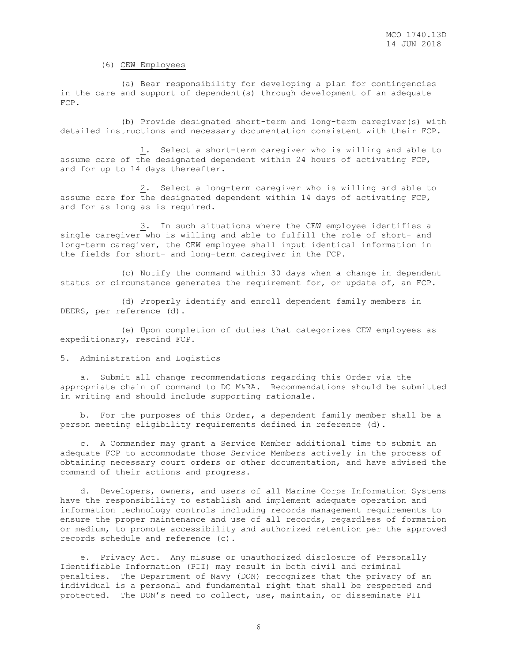#### (6) CEW Employees

 (a) Bear responsibility for developing a plan for contingencies in the care and support of dependent(s) through development of an adequate FCP.

 (b) Provide designated short-term and long-term caregiver(s) with detailed instructions and necessary documentation consistent with their FCP.

 1. Select a short-term caregiver who is willing and able to assume care of the designated dependent within 24 hours of activating FCP, and for up to 14 days thereafter.

 2. Select a long-term caregiver who is willing and able to assume care for the designated dependent within 14 days of activating FCP, and for as long as is required.

 3. In such situations where the CEW employee identifies a single caregiver who is willing and able to fulfill the role of short- and long-term caregiver, the CEW employee shall input identical information in the fields for short- and long-term caregiver in the FCP.

 (c) Notify the command within 30 days when a change in dependent status or circumstance generates the requirement for, or update of, an FCP.

 (d) Properly identify and enroll dependent family members in DEERS, per reference (d).

 (e) Upon completion of duties that categorizes CEW employees as expeditionary, rescind FCP.

## 5. Administration and Logistics

 a. Submit all change recommendations regarding this Order via the appropriate chain of command to DC M&RA. Recommendations should be submitted in writing and should include supporting rationale.

 b. For the purposes of this Order, a dependent family member shall be a person meeting eligibility requirements defined in reference (d).

 c. A Commander may grant a Service Member additional time to submit an adequate FCP to accommodate those Service Members actively in the process of obtaining necessary court orders or other documentation, and have advised the command of their actions and progress.

 d. Developers, owners, and users of all Marine Corps Information Systems have the responsibility to establish and implement adequate operation and information technology controls including records management requirements to ensure the proper maintenance and use of all records, regardless of formation or medium, to promote accessibility and authorized retention per the approved records schedule and reference (c).

 e. Privacy Act. Any misuse or unauthorized disclosure of Personally Identifiable Information (PII) may result in both civil and criminal penalties. The Department of Navy (DON) recognizes that the privacy of an individual is a personal and fundamental right that shall be respected and protected. The DON's need to collect, use, maintain, or disseminate PII

6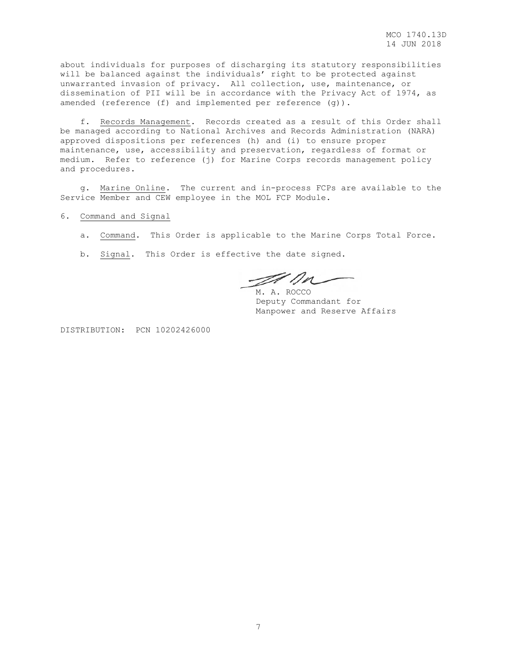about individuals for purposes of discharging its statutory responsibilities will be balanced against the individuals' right to be protected against unwarranted invasion of privacy. All collection, use, maintenance, or dissemination of PII will be in accordance with the Privacy Act of 1974, as amended (reference (f) and implemented per reference (g)).

 f. Records Management. Records created as a result of this Order shall be managed according to National Archives and Records Administration (NARA) approved dispositions per references (h) and (i) to ensure proper maintenance, use, accessibility and preservation, regardless of format or medium. Refer to reference (j) for Marine Corps records management policy and procedures.

 g. Marine Online. The current and in-process FCPs are available to the Service Member and CEW employee in the MOL FCP Module.

6. Command and Signal

- a. Command. This Order is applicable to the Marine Corps Total Force.
- b. Signal. This Order is effective the date signed.

alla

M. A. ROCCO Deputy Commandant for Manpower and Reserve Affairs

DISTRIBUTION: PCN 10202426000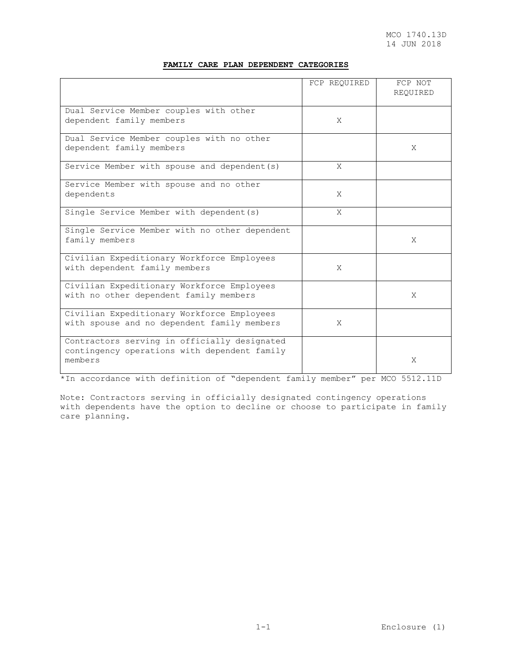# **FAMILY CARE PLAN DEPENDENT CATEGORIES**

|                                                                                                         | FCP REQUIRED | FCP NOT<br>REQUIRED |
|---------------------------------------------------------------------------------------------------------|--------------|---------------------|
| Dual Service Member couples with other<br>dependent family members                                      | X            |                     |
| Dual Service Member couples with no other<br>dependent family members                                   |              | X                   |
| Service Member with spouse and dependent (s)                                                            | X            |                     |
| Service Member with spouse and no other<br>dependents                                                   | X            |                     |
| Single Service Member with dependent (s)                                                                | X            |                     |
| Single Service Member with no other dependent<br>family members                                         |              | X                   |
| Civilian Expeditionary Workforce Employees<br>with dependent family members                             | X            |                     |
| Civilian Expeditionary Workforce Employees<br>with no other dependent family members                    |              | X                   |
| Civilian Expeditionary Workforce Employees<br>with spouse and no dependent family members               | X            |                     |
| Contractors serving in officially designated<br>contingency operations with dependent family<br>members |              | X                   |

\*In accordance with definition of "dependent family member" per MCO 5512.11D

Note: Contractors serving in officially designated contingency operations with dependents have the option to decline or choose to participate in family care planning.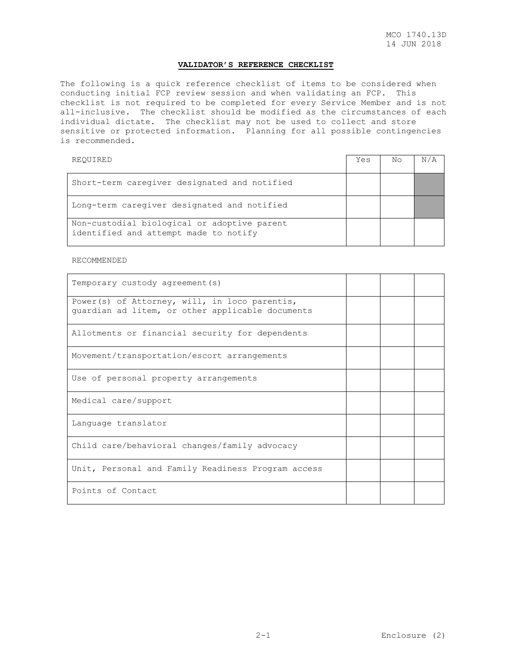## **VALIDATOR'S REFERENCE CHECKLIST**

The following is a quick reference checklist of items to be considered when conducting initial FCP review session and when validating an FCP. This checklist is not required to be completed for every Service Member and is not all-inclusive. The checklist should be modified as the circumstances of each individual dictate. The checklist may not be used to collect and store sensitive or protected information. Planning for all possible contingencies is recommended.

REQUIRED Yes No N/A Short-term caregiver designated and notified Long-term caregiver designated and notified Non-custodial biological or adoptive parent identified and attempt made to notify

RECOMMENDED

| Temporary custody agreement (s)                                                                   |  |  |
|---------------------------------------------------------------------------------------------------|--|--|
| Power(s) of Attorney, will, in loco parentis,<br>quardian ad litem, or other applicable documents |  |  |
| Allotments or financial security for dependents                                                   |  |  |
| Movement/transportation/escort arrangements                                                       |  |  |
| Use of personal property arrangements                                                             |  |  |
| Medical care/support                                                                              |  |  |
| Language translator                                                                               |  |  |
| Child care/behavioral changes/family advocacy                                                     |  |  |
| Unit, Personal and Family Readiness Program access                                                |  |  |
| Points of Contact                                                                                 |  |  |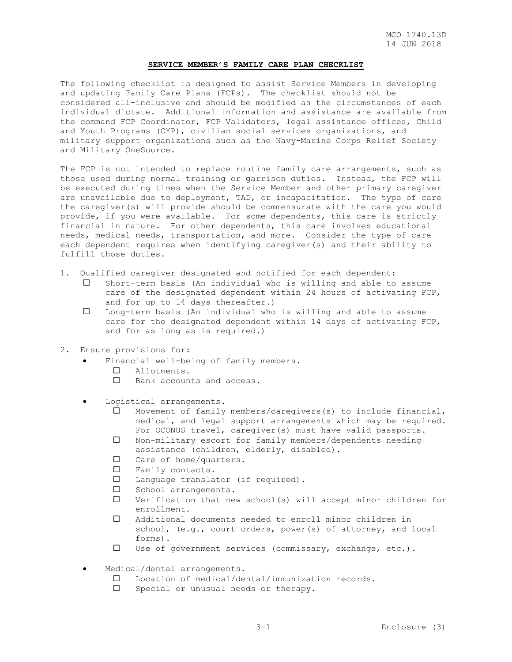#### **SERVICE MEMBER'S FAMILY CARE PLAN CHECKLIST**

The following checklist is designed to assist Service Members in developing and updating Family Care Plans (FCPs). The checklist should not be considered all-inclusive and should be modified as the circumstances of each individual dictate. Additional information and assistance are available from the command FCP Coordinator, FCP Validators, legal assistance offices, Child and Youth Programs (CYP), civilian social services organizations, and military support organizations such as the Navy-Marine Corps Relief Society and Military OneSource.

The FCP is not intended to replace routine family care arrangements, such as those used during normal training or garrison duties. Instead, the FCP will be executed during times when the Service Member and other primary caregiver are unavailable due to deployment, TAD, or incapacitation. The type of care the caregiver(s) will provide should be commensurate with the care you would provide, if you were available. For some dependents, this care is strictly financial in nature. For other dependents, this care involves educational needs, medical needs, transportation, and more. Consider the type of care each dependent requires when identifying caregiver(s) and their ability to fulfill those duties.

- 1. Qualified caregiver designated and notified for each dependent:
	- Short-term basis (An individual who is willing and able to assume care of the designated dependent within 24 hours of activating FCP, and for up to 14 days thereafter.)
	- Long-term basis (An individual who is willing and able to assume care for the designated dependent within 14 days of activating FCP, and for as long as is required.)
- 2. Ensure provisions for:
	- Financial well-being of family members.
		- Allotments.
		- □ Bank accounts and access.
	- Logistical arrangements.
		- $\square$  Movement of family members/caregivers(s) to include financial, medical, and legal support arrangements which may be required. For OCONUS travel, caregiver(s) must have valid passports.
		- Non-military escort for family members/dependents needing assistance (children, elderly, disabled).
		- □ Care of home/quarters.
		- Family contacts.
		- Language translator (if required).
		- $\square$  School arrangements.
		- $\square$  Verification that new school(s) will accept minor children for enrollment.
		- Additional documents needed to enroll minor children in school, (e.g., court orders, power(s) of attorney, and local forms).
		- Use of government services (commissary, exchange, etc.).
	- Medical/dental arrangements.
		- Location of medical/dental/immunization records.
		- Special or unusual needs or therapy.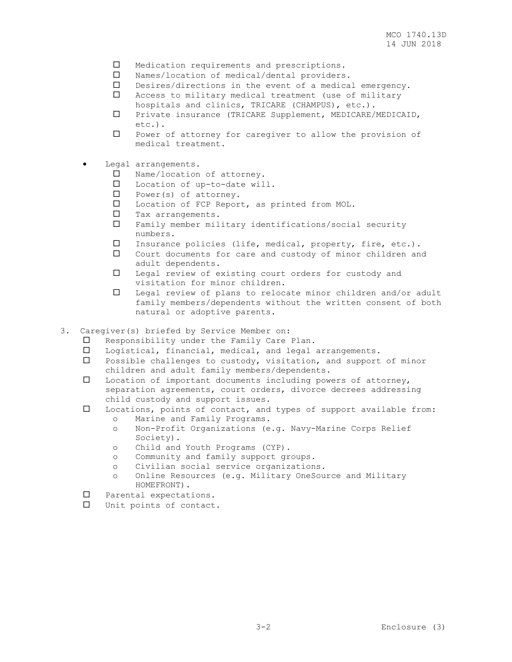- $\square$  Medication requirements and prescriptions.
- Names/location of medical/dental providers.
- Desires/directions in the event of a medical emergency.
- Access to military medical treatment (use of military hospitals and clinics, TRICARE (CHAMPUS), etc.).
- Private insurance (TRICARE Supplement, MEDICARE/MEDICAID, etc.).
- $\square$  Power of attorney for caregiver to allow the provision of medical treatment.
- Legal arrangements.
	- □ Name/location of attorney.
	- Location of up-to-date will.
	- $\square$  Power(s) of attorney.
	- Location of FCP Report, as printed from MOL.
	- $\square$  Tax arrangements.
	- Family member military identifications/social security numbers.
	- Insurance policies (life, medical, property, fire, etc.).
	- Court documents for care and custody of minor children and adult dependents.
	- Legal review of existing court orders for custody and visitation for minor children.
	- Legal review of plans to relocate minor children and/or adult family members/dependents without the written consent of both natural or adoptive parents.
- 3. Caregiver(s) briefed by Service Member on:
	- Responsibility under the Family Care Plan.
	- Logistical, financial, medical, and legal arrangements.
	- $\square$  Possible challenges to custody, visitation, and support of minor children and adult family members/dependents.
	- Location of important documents including powers of attorney, separation agreements, court orders, divorce decrees addressing child custody and support issues.
	- Locations, points of contact, and types of support available from:
		- o Marine and Family Programs.
		- o Non-Profit Organizations (e.g. Navy-Marine Corps Relief Society).
		- o Child and Youth Programs (CYP).
		- o Community and family support groups.
		- o Civilian social service organizations.
		- o Online Resources (e.g. Military OneSource and Military HOMEFRONT).
	- Parental expectations.
	- Unit points of contact.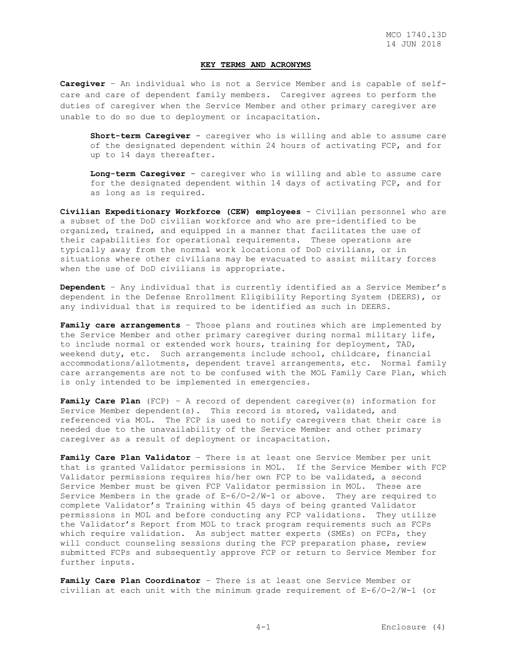### **KEY TERMS AND ACRONYMS**

**Caregiver** – An individual who is not a Service Member and is capable of selfcare and care of dependent family members. Caregiver agrees to perform the duties of caregiver when the Service Member and other primary caregiver are unable to do so due to deployment or incapacitation.

**Short-term Caregiver** - caregiver who is willing and able to assume care of the designated dependent within 24 hours of activating FCP, and for up to 14 days thereafter.

**Long-term Caregiver** - caregiver who is willing and able to assume care for the designated dependent within 14 days of activating FCP, and for as long as is required.

**Civilian Expeditionary Workforce (CEW) employees** - Civilian personnel who are a subset of the DoD civilian workforce and who are pre-identified to be organized, trained, and equipped in a manner that facilitates the use of their capabilities for operational requirements. These operations are typically away from the normal work locations of DoD civilians, or in situations where other civilians may be evacuated to assist military forces when the use of DoD civilians is appropriate.

**Dependent** – Any individual that is currently identified as a Service Member's dependent in the Defense Enrollment Eligibility Reporting System (DEERS), or any individual that is required to be identified as such in DEERS.

**Family care arrangements** – Those plans and routines which are implemented by the Service Member and other primary caregiver during normal military life, to include normal or extended work hours, training for deployment, TAD, weekend duty, etc. Such arrangements include school, childcare, financial accommodations/allotments, dependent travel arrangements, etc. Normal family care arrangements are not to be confused with the MOL Family Care Plan, which is only intended to be implemented in emergencies.

Family Care Plan (FCP) - A record of dependent caregiver(s) information for Service Member dependent(s). This record is stored, validated, and referenced via MOL. The FCP is used to notify caregivers that their care is needed due to the unavailability of the Service Member and other primary caregiver as a result of deployment or incapacitation.

**Family Care Plan Validator** – There is at least one Service Member per unit that is granted Validator permissions in MOL. If the Service Member with FCP Validator permissions requires his/her own FCP to be validated, a second Service Member must be given FCP Validator permission in MOL. These are Service Members in the grade of  $E-6/0-2/W-1$  or above. They are required to complete Validator's Training within 45 days of being granted Validator permissions in MOL and before conducting any FCP validations. They utilize the Validator's Report from MOL to track program requirements such as FCPs which require validation. As subject matter experts (SMEs) on FCPs, they will conduct counseling sessions during the FCP preparation phase, review submitted FCPs and subsequently approve FCP or return to Service Member for further inputs.

**Family Care Plan Coordinator** – There is at least one Service Member or civilian at each unit with the minimum grade requirement of E-6/O-2/W-1 (or